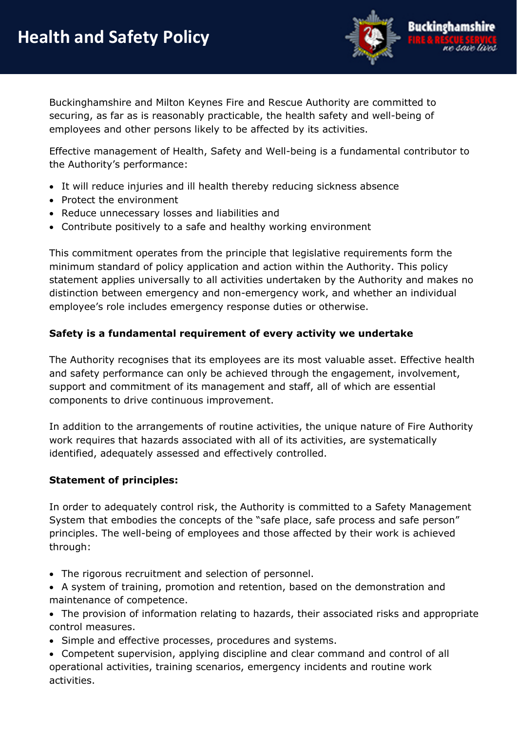

Buckinghamshire and Milton Keynes Fire and Rescue Authority are committed to securing, as far as is reasonably practicable, the health safety and well-being of employees and other persons likely to be affected by its activities.

Effective management of Health, Safety and Well-being is a fundamental contributor to the Authority's performance:

- It will reduce injuries and ill health thereby reducing sickness absence
- Protect the environment
- Reduce unnecessary losses and liabilities and
- Contribute positively to a safe and healthy working environment

This commitment operates from the principle that legislative requirements form the minimum standard of policy application and action within the Authority. This policy statement applies universally to all activities undertaken by the Authority and makes no distinction between emergency and non-emergency work, and whether an individual employee's role includes emergency response duties or otherwise.

## **Safety is a fundamental requirement of every activity we undertake**

The Authority recognises that its employees are its most valuable asset. Effective health and safety performance can only be achieved through the engagement, involvement, support and commitment of its management and staff, all of which are essential components to drive continuous improvement.

In addition to the arrangements of routine activities, the unique nature of Fire Authority work requires that hazards associated with all of its activities, are systematically identified, adequately assessed and effectively controlled.

## **Statement of principles:**

In order to adequately control risk, the Authority is committed to a Safety Management System that embodies the concepts of the "safe place, safe process and safe person" principles. The well-being of employees and those affected by their work is achieved through:

- The rigorous recruitment and selection of personnel.
- A system of training, promotion and retention, based on the demonstration and maintenance of competence.
- The provision of information relating to hazards, their associated risks and appropriate control measures.
- Simple and effective processes, procedures and systems.
- Competent supervision, applying discipline and clear command and control of all operational activities, training scenarios, emergency incidents and routine work activities.